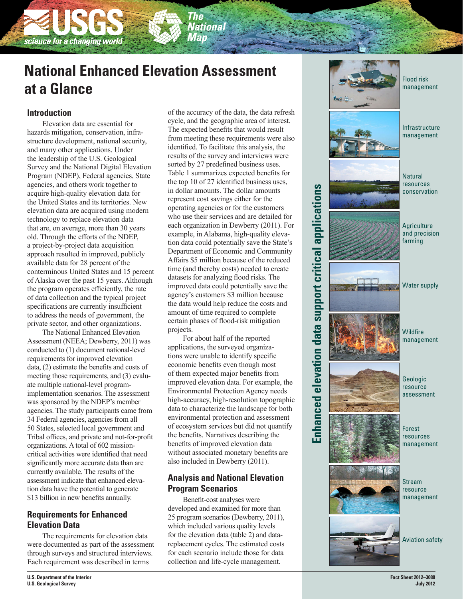# **National Enhanced Elevation Assessment at a Glance**

'he **National** Map

## **Introduction**

science for a changing world

Elevation data are essential for hazards mitigation, conservation, infra structure development, national security, and many other applications. Under the leadership of the U.S. Geological Survey and the National Digital Elevation Program (NDEP), Federal agencies, State agencies, and others work together to acquire high-quality elevation data for the United States and its territories. New elevation data are acquired using modern technology to replace elevation data that are, on average, more than 30 years old. Through the efforts of the NDEP, a project-by-project data acquisition approach resulted in improved, publicly available data for 28 percent of the conterminous United States and 15 percent of Alaska over the past 15 years. Although the program operates efficiently, the rate of data collection and the typical project specifications are currently insufficient to address the needs of government, the private sector, and other organizations.

The National Enhanced Elevation Assessment (NEEA; Dewberry, 2011) was conducted to (1) document national-level requirements for improved elevation data, (2) estimate the benefits and costs of meeting those requirements, and (3) evaluate multiple national-level programimplementation scenarios. The assessment was sponsored by the NDEP's member agencies. The study participants came from 34 Federal agencies, agencies from all 50 States, selected local government and Tribal offices, and private and not-for-profit organizations. A total of 602 missioncritical activities were identified that need significantly more accurate data than are currently available. The results of the assessment indicate that enhanced elevation data have the potential to generate \$13 billion in new benefits annually.

### **Requirements for Enhanced Elevation Data**

The requirements for elevation data were documented as part of the assessment through surveys and structured interviews. Each requirement was described in terms

of the accuracy of the data, the data refresh cycle, and the geographic area of interest. The expected benefits that would result from meeting these requirements were also identified. To facilitate this analysis, the results of the survey and interviews were sorted by 27 predefined business uses. Table 1 summarizes expected benefits for the top 10 of 27 identified business uses, in dollar amounts. The dollar amounts represent cost savings either for the operating agencies or for the customers who use their services and are detailed for each organization in Dewberry (2011). For example, in Alabama, high-quality eleva tion data could potentially save the State's Department of Economic and Community Affairs \$5 million because of the reduced time (and thereby costs) needed to create datasets for analyzing flood risks. The improved data could potentially save the agency's customers \$3 million because the data would help reduce the costs and amount of time required to complete certain phases of flood-risk mitigation projects.

For about half of the reported applications, the surveyed organiza tions were unable to identify specific economic benefits even though most of them expected major benefits from improved elevation data. For example, the Environmental Protection Agency needs high-accuracy, high-resolution topographic data to characterize the landscape for both environmental protection and assessment of ecosystem services but did not quantify the benefits. Narratives describing the benefits of improved elevation data without associated monetary benefits are also included in Dewberry (2011).

## **Analysis and National Elevation Program Scenarios**

Benefit-cost analyses were developed and examined for more than 25 program scenarios (Dewberry, 2011), which included various quality levels for the elevation data (table 2) and datareplacement cycles. The estimated costs for each scenario include those for data collection and life-cycle management.



management

**U.S. Department of the Interior U.S. Geological Survey**